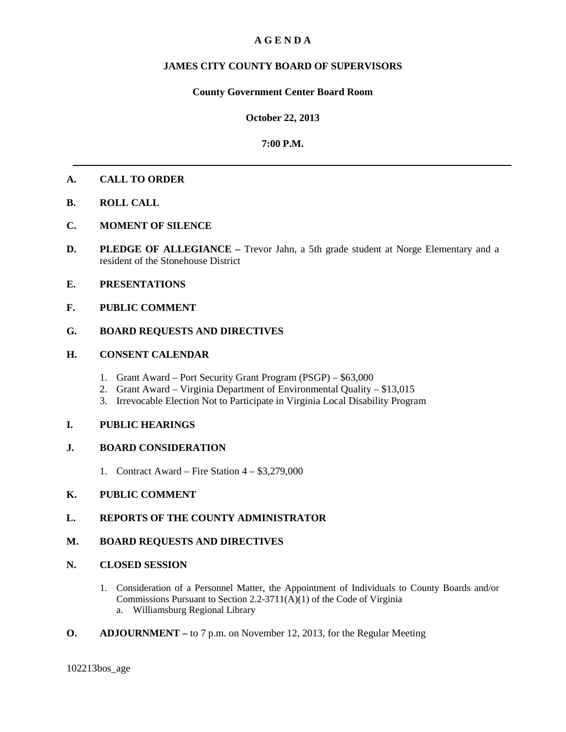# **A G E N D A**

# **JAMES CITY COUNTY BOARD OF SUPERVISORS**

### **County Government Center Board Room**

#### **October 22, 2013**

#### **7:00 P.M.**

### **A. CALL TO ORDER**

- **B. ROLL CALL**
- **C. MOMENT OF SILENCE**
- **D. PLEDGE OF ALLEGIANCE** Trevor Jahn, a 5th grade student at Norge Elementary and a resident of the Stonehouse District
- **E. PRESENTATIONS**
- **F. PUBLIC COMMENT**

## **G. BOARD REQUESTS AND DIRECTIVES**

#### **H. CONSENT CALENDAR**

- 1. Grant Award Port Security Grant Program (PSGP) \$63,000
- 2. Grant Award Virginia Department of Environmental Quality \$13,015
- 3. Irrevocable Election Not to Participate in Virginia Local Disability Program

### **I. PUBLIC HEARINGS**

### **J. BOARD CONSIDERATION**

1. Contract Award – Fire Station 4 – \$3,279,000

# **K. PUBLIC COMMENT**

### **L. REPORTS OF THE COUNTY ADMINISTRATOR**

### **M. BOARD REQUESTS AND DIRECTIVES**

#### **N. CLOSED SESSION**

- 1. Consideration of a Personnel Matter, the Appointment of Individuals to County Boards and/or Commissions Pursuant to Section 2.2-3711(A)(1) of the Code of Virginia a. Williamsburg Regional Library
- **O. ADJOURNMENT –** to 7 p.m. on November 12, 2013, for the Regular Meeting

102213bos\_age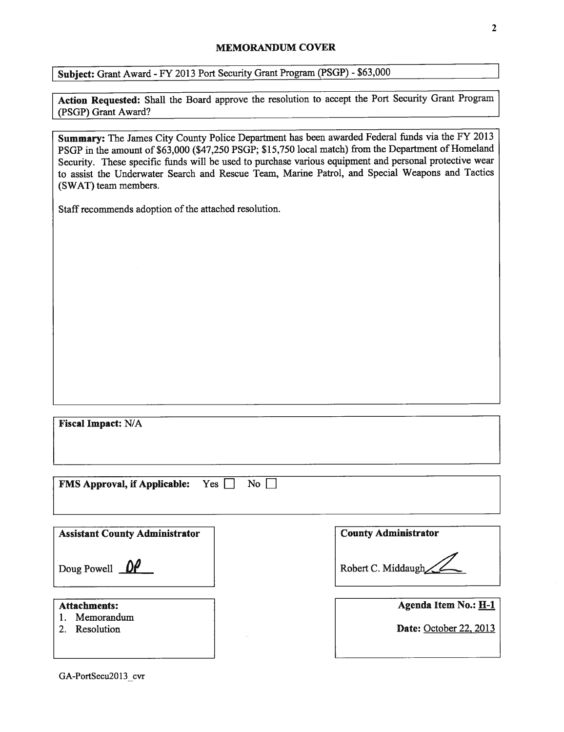#### MEMORANDUM COVER

Subject: Grant Award - FY 2013 Port Security Grant Program (PSGP) - \$63,000

Action Requested: Shall the Board approve the resolution to accept the Port Security Grant Program (PSGP) Grant Award?

Summary: The James City County Police Department has been awarded Federal funds via the FY 2013 PSGP in the amount of \$63,000 (\$47,250 PSGP; \$15,750 local match) from the Department of Homeland Security. These specific funds will be used to purchase various equipment and personal protective wear to assist the Underwater Search and Rescue Team, Marine Patrol, and Special Weapons and Tactics (SWAT) team members.

Staff recommends adoption of the attached resolution.

Fiscal Impact: N/A

FMS Approval, if Applicable:  $Yes \Box No \Box$ 

| <b>Assistant County Administrator</b> | <b>County Administrator</b>   |
|---------------------------------------|-------------------------------|
| Doug Powell $\mathbb{D}$              | Robert C. Middaugh            |
| <b>Attachments:</b>                   | Agenda Item No.: H-1          |
| Memorandum<br>Resolution              | <b>Date:</b> October 22, 2013 |

GA-PortSecu2013 cvr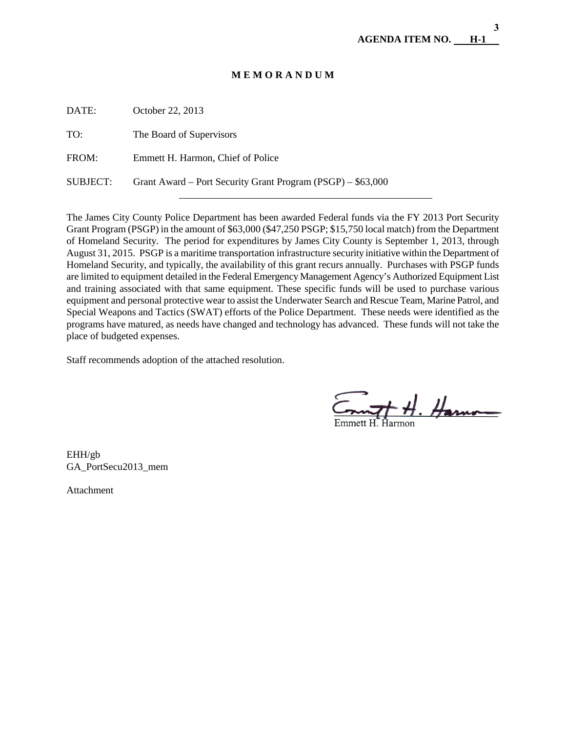**3**

### **M E M O R A N D U M**

| DATE:           | October 22, 2013                                            |
|-----------------|-------------------------------------------------------------|
| TO:             | The Board of Supervisors                                    |
| FROM:           | Emmett H. Harmon, Chief of Police                           |
| <b>SUBJECT:</b> | Grant Award – Port Security Grant Program (PSGP) – \$63,000 |
|                 |                                                             |

The James City County Police Department has been awarded Federal funds via the FY 2013 Port Security Grant Program (PSGP) in the amount of \$63,000 (\$47,250 PSGP; \$15,750 local match) from the Department of Homeland Security. The period for expenditures by James City County is September 1, 2013, through August 31, 2015. PSGP is a maritime transportation infrastructure security initiative within the Department of Homeland Security, and typically, the availability of this grant recurs annually. Purchases with PSGP funds are limited to equipment detailed in the Federal Emergency Management Agency's Authorized Equipment List and training associated with that same equipment. These specific funds will be used to purchase various equipment and personal protective wear to assist the Underwater Search and Rescue Team, Marine Patrol, and Special Weapons and Tactics (SWAT) efforts of the Police Department. These needs were identified as the programs have matured, as needs have changed and technology has advanced. These funds will not take the place of budgeted expenses.

Staff recommends adoption of the attached resolution.

 $m$  of  $H.$  Harmon

EHH/gb GA\_PortSecu2013\_mem

Attachment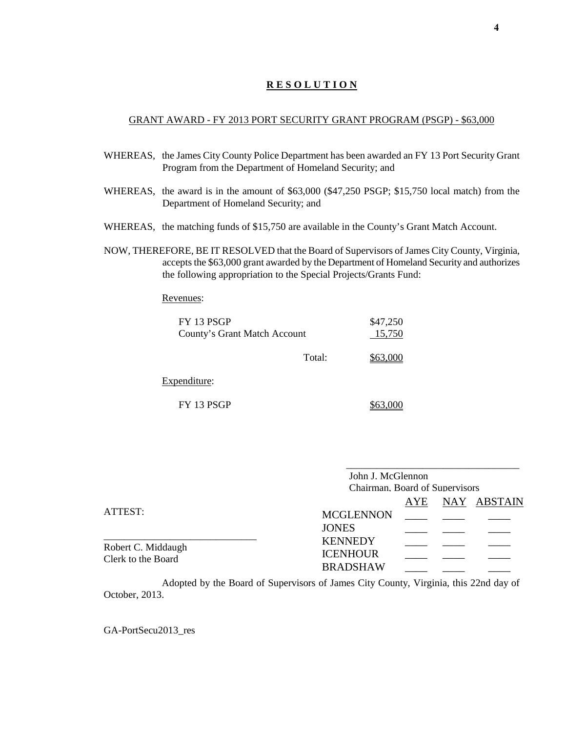#### GRANT AWARD - FY 2013 PORT SECURITY GRANT PROGRAM (PSGP) - \$63,000

- WHEREAS, the James City County Police Department has been awarded an FY 13 Port Security Grant Program from the Department of Homeland Security; and
- WHEREAS, the award is in the amount of \$63,000 (\$47,250 PSGP; \$15,750 local match) from the Department of Homeland Security; and
- WHEREAS, the matching funds of \$15,750 are available in the County's Grant Match Account.
- NOW, THEREFORE, BE IT RESOLVED that the Board of Supervisors of James City County, Virginia, accepts the \$63,000 grant awarded by the Department of Homeland Security and authorizes the following appropriation to the Special Projects/Grants Fund:

Revenues:

| FY 13 PSGP<br>County's Grant Match Account |        | \$47,250<br>15,750 |
|--------------------------------------------|--------|--------------------|
|                                            | Total: | \$63,000           |

Expenditure:

FY 13 PSGP \$63,000

\_\_\_\_\_\_\_\_\_\_\_\_\_\_\_\_\_\_\_\_\_\_\_\_\_\_\_\_\_\_\_\_\_\_ John J. McGlennon

Chairman, Board of Supervisors AYE NAY ABSTAIN

|                                          |                  | . | $\cdots$ |
|------------------------------------------|------------------|---|----------|
| ATTEST:                                  | <b>MCGLENNON</b> |   |          |
|                                          | <b>JONES</b>     |   |          |
|                                          | <b>KENNEDY</b>   |   |          |
| Robert C. Middaugh<br>Clerk to the Board | <b>ICENHOUR</b>  |   |          |
|                                          | <b>BRADSHAW</b>  |   |          |

Adopted by the Board of Supervisors of James City County, Virginia, this 22nd day of October, 2013.

GA-PortSecu2013\_res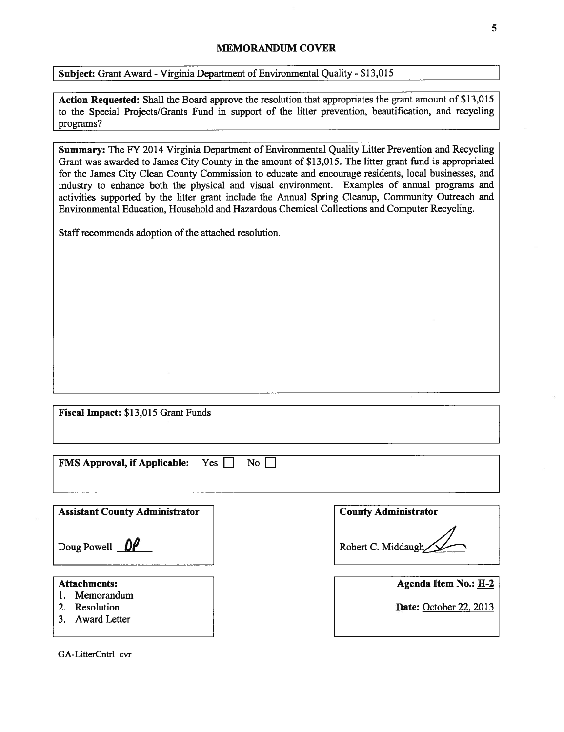#### MEMORANDUM COVER

Subject: Grant Award - Virginia Department of Environmental Quality - \$13,015

Action Requested: Shall the Board approve the resolution that appropriates the grant amount of \$13,015 to the Special Projects/Grants Fund in support of the litter prevention, beautification, and recycling programs?

Summary: The FY 2014 Virginia Department of Environmental Quality Litter Prevention and Recycling Grant was awarded to James City County in the amount of \$13,015. The litter grant fund is appropriated for the James City Clean County Commission to educate and encourage residents, local businesses, and industry to enhance both the physical and visual environment. Examples of annual programs and activities supported by the litter grant include the Annual Spring Cleanup, Community Outreach and Environmental Education, Household and Hazardous Chemical Collections and Computer Recycling.

Staff recommends adoption of the attached resolution.

|  |  |  | Fiscal Impact: \$13,015 Grant Funds |
|--|--|--|-------------------------------------|
|--|--|--|-------------------------------------|

| <b>FMS Approval, if Applicable:</b> Yes $\Box$ No $\Box$ |  |  |
|----------------------------------------------------------|--|--|
|----------------------------------------------------------|--|--|

| <b>Assistant County Administrator</b>           | <b>County Administrator</b> |
|-------------------------------------------------|-----------------------------|
| Doug Powell $\mathbb{Q}$                        | Robert C. Middaugh          |
| <b>Attachments:</b>                             | <b>Agenda Item No.: H-2</b> |
| Memorandum<br>Resolution<br><b>Award Letter</b> | Date: October 22, 2013      |

GA-LitterCntrl\_cvr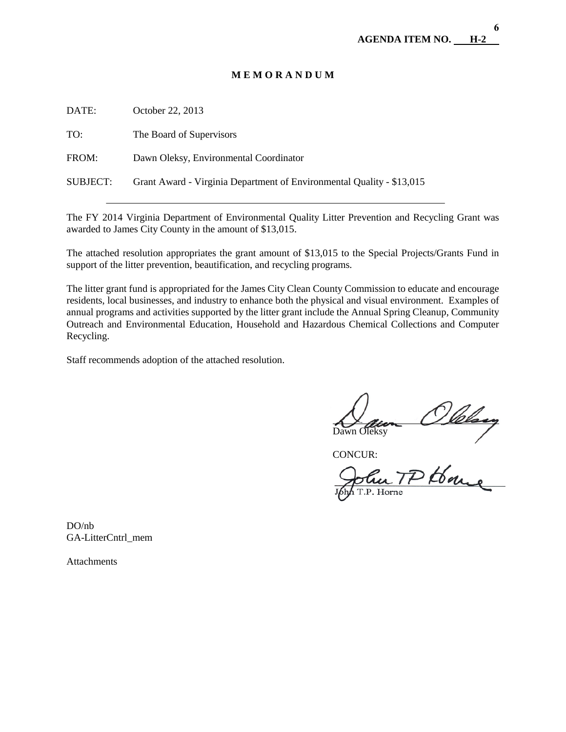### **M E M O R A N D U M**

| DATE:    | October 22, 2013                                                      |
|----------|-----------------------------------------------------------------------|
| TO:      | The Board of Supervisors                                              |
| FROM:    | Dawn Oleksy, Environmental Coordinator                                |
| SUBJECT: | Grant Award - Virginia Department of Environmental Quality - \$13,015 |
|          |                                                                       |

The FY 2014 Virginia Department of Environmental Quality Litter Prevention and Recycling Grant was awarded to James City County in the amount of \$13,015.

The attached resolution appropriates the grant amount of \$13,015 to the Special Projects/Grants Fund in support of the litter prevention, beautification, and recycling programs.

The litter grant fund is appropriated for the James City Clean County Commission to educate and encourage residents, local businesses, and industry to enhance both the physical and visual environment. Examples of annual programs and activities supported by the litter grant include the Annual Spring Cleanup, Community Outreach and Environmental Education, Household and Hazardous Chemical Collections and Computer Recycling.

Staff recommends adoption of the attached resolution.

 $\overline{a}$ un Olelsey<br>in TP House

CONCUR:

Horne

DO/nb GA-LitterCntrl\_mem

**Attachments**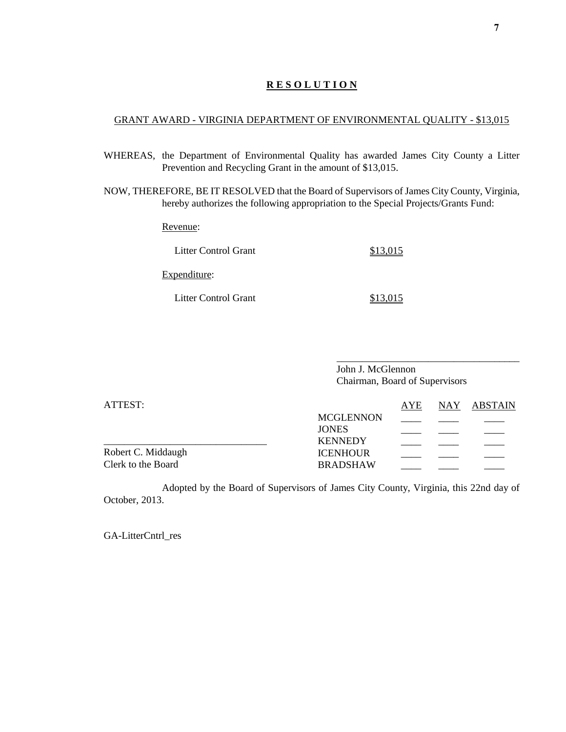#### GRANT AWARD - VIRGINIA DEPARTMENT OF ENVIRONMENTAL QUALITY - \$13,015

- WHEREAS, the Department of Environmental Quality has awarded James City County a Litter Prevention and Recycling Grant in the amount of \$13,015.
- NOW, THEREFORE, BE IT RESOLVED that the Board of Supervisors of James City County, Virginia, hereby authorizes the following appropriation to the Special Projects/Grants Fund:

Revenue:

| Litter Control Grant | \$13,015 |
|----------------------|----------|
| Expenditure:         |          |

Litter Control Grant \$13,015

\_\_\_\_\_\_\_\_\_\_\_\_\_\_\_\_\_\_\_\_\_\_\_\_\_\_\_\_\_\_\_\_\_\_\_\_ John J. McGlennon Chairman, Board of Supervisors

| ATTEST:            |                  | AYE | NAY ABSTAIN |
|--------------------|------------------|-----|-------------|
|                    | <b>MCGLENNON</b> |     |             |
|                    | <b>JONES</b>     |     |             |
|                    | <b>KENNEDY</b>   |     |             |
| Robert C. Middaugh | <b>ICENHOUR</b>  |     |             |
| Clerk to the Board | <b>BRADSHAW</b>  |     |             |

Adopted by the Board of Supervisors of James City County, Virginia, this 22nd day of October, 2013.

GA-LitterCntrl\_res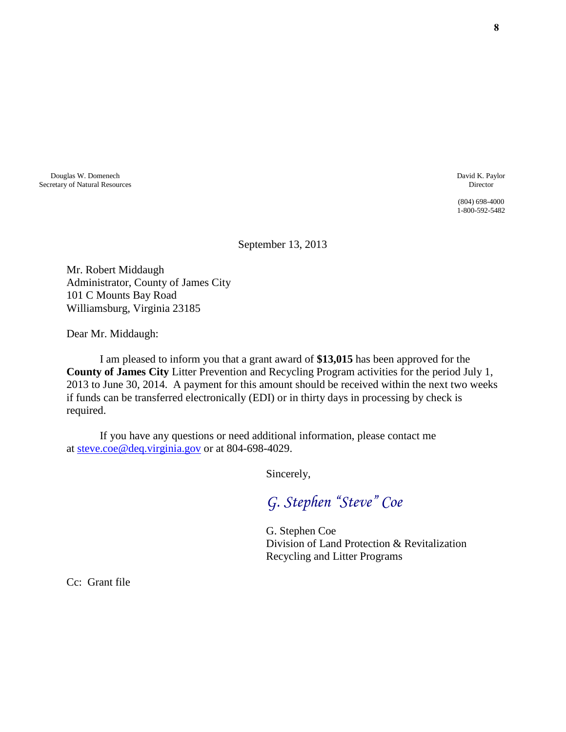Douglas W. Domenech Secretary of Natural Resources David K. Paylor Director

(804) 698-4000 1-800-592-5482

September 13, 2013

Mr. Robert Middaugh Administrator, County of James City 101 C Mounts Bay Road Williamsburg, Virginia 23185

Dear Mr. Middaugh:

 I am pleased to inform you that a grant award of **\$13,015** has been approved for the **County of James City** Litter Prevention and Recycling Program activities for the period July 1, 2013 to June 30, 2014. A payment for this amount should be received within the next two weeks if funds can be transferred electronically (EDI) or in thirty days in processing by check is required.

 If you have any questions or need additional information, please contact me at [steve.coe@deq.virginia.gov](mailto:steve.coe@deq.virginia.gov) or at 804-698-4029.

Sincerely,

*G. Stephen "Steve" Coe* 

 G. Stephen Coe Division of Land Protection & Revitalization Recycling and Litter Programs

Cc: Grant file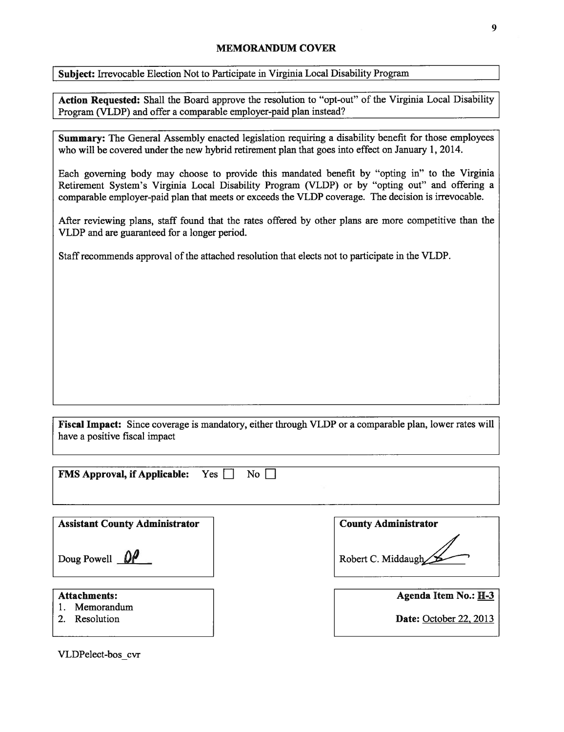#### MEMORANDUM COVER

Subject: Irrevocable Election Not to Participate in Virginia Local Disability Program

Action Requested: Shall the Board approve the resolution to "opt-out" of the Virginia Local Disability Program (VLDP) and offer a comparable employer-paid plan instead?

Summary: The General Assembly enacted legislation requiring a disability benefit for those employees who will be covered under the new hybrid retirement plan that goes into effect on January 1, 2014.

Each governing body may choose to provide this mandated benefit by "opting in" to the Virginia Retirement System's Virginia Local Disability Program (VLDP) or by "opting out" and offering a comparable employer-paid plan that meets or exceeds the VLDP coverage. The decision is irrevocable.

After reviewing plans, staff found that the rates offered by other plans are more competitive than the VLDP and are guaranteed for a longer period.

Staff recommends approval of the attached resolution that elects not to participate in the VLDP.

Fiscal Impact: Since coverage is mandatory, either through VLDP or a comparable plan, lower rates will have a positive fiscal impact

| Yes<br>$\overline{N_{0}}$<br><b>FMS Approval, if Applicable:</b> |                               |
|------------------------------------------------------------------|-------------------------------|
| <b>Assistant County Administrator</b>                            | <b>County Administrator</b>   |
| Doug Powell $\mathbb{D}^{\mathcal{U}}$                           | Robert C. Middaugh            |
| <b>Attachments:</b>                                              | Agenda Item No.: H-3          |
| Memorandum<br>Resolution<br>$\overline{2}$                       | <b>Date:</b> October 22, 2013 |

VLDPelect-bos cvr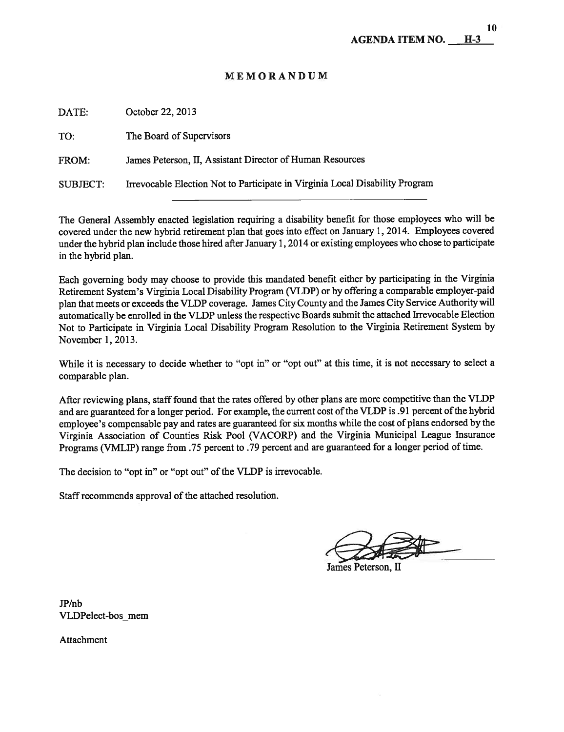# MEMORANDUM

| Irrevocable Election Not to Participate in Virginia Local Disability Program |
|------------------------------------------------------------------------------|
|                                                                              |

The General Assembly enacted legislation requiring a disability benefit for those employees who will be covered under the new hybrid retirement plan that goes into effect on January 1, 2014. Employees covered under the hybrid plan include those hired after January 1,2014 or existing employees who chose to participate in the hybrid plan.

Each governing body may choose to provide this mandated benefit either by participating in the Virginia Retirement System's Virginia Local Disability Program (VLDP) or by offering a comparable employer-paid plan that meets or exceeds the VLDP coverage. James City County and the James City Service Authority will automatically be enrolled in the VLDP unless the respective Boards submit the attached frrevocable Election Not to Participate in Virginia Local Disability Program Resolution to the Virginia Retirement System by November 1, 2013.

While it is necessary to decide whether to "opt in" or "opt out" at this time, it is not necessary to select a comparable plan.

After reviewing plans, staff found that the rates offered by other plans are more competitive than the VLDP and are guaranteed for a longer period. For example, the current cost ofthe VLDP is .91 percent ofthe hybrid employee's compensable pay and rates are guaranteed for six months while the cost of plans endorsed by the Virginia Association of Counties Risk Pool (VACORP) and the Virginia Municipal League Insurance Programs (VMLIP) range from .75 percent to .79 percent and are guaranteed for a longer period of time.

The decision to "opt in" or "opt out" of the VLDP is irrevocable.

Staffrecommends approval of the attached resolution.

James Peterson, II

JP/nb VLDPelect-bos mem

Attachment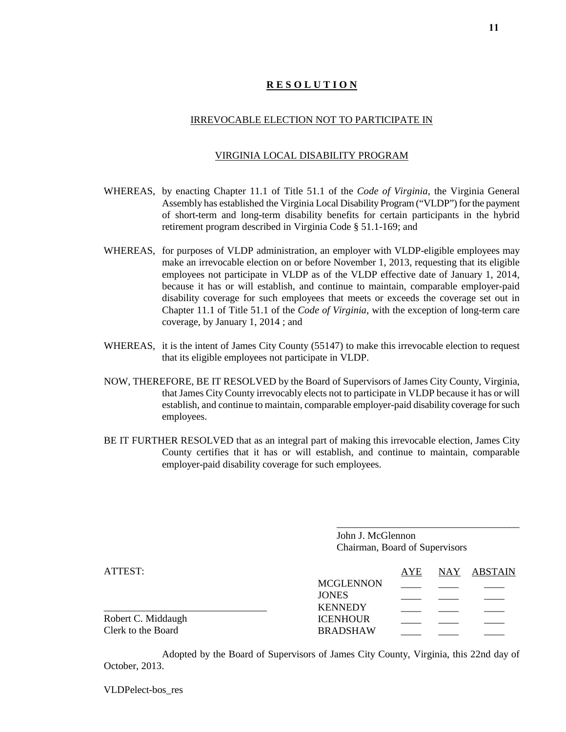#### IRREVOCABLE ELECTION NOT TO PARTICIPATE IN

#### VIRGINIA LOCAL DISABILITY PROGRAM

- WHEREAS, by enacting Chapter 11.1 of Title 51.1 of the *Code of Virginia*, the Virginia General Assembly has established the Virginia Local Disability Program ("VLDP") for the payment of short-term and long-term disability benefits for certain participants in the hybrid retirement program described in Virginia Code § 51.1-169; and
- WHEREAS, for purposes of VLDP administration, an employer with VLDP-eligible employees may make an irrevocable election on or before November 1, 2013, requesting that its eligible employees not participate in VLDP as of the VLDP effective date of January 1, 2014, because it has or will establish, and continue to maintain, comparable employer-paid disability coverage for such employees that meets or exceeds the coverage set out in Chapter 11.1 of Title 51.1 of the *Code of Virginia*, with the exception of long-term care coverage, by January 1, 2014 ; and
- WHEREAS, it is the intent of James City County (55147) to make this irrevocable election to request that its eligible employees not participate in VLDP.
- NOW, THEREFORE, BE IT RESOLVED by the Board of Supervisors of James City County, Virginia, that James City County irrevocably elects not to participate in VLDP because it has or will establish, and continue to maintain, comparable employer-paid disability coverage for such employees.
- BE IT FURTHER RESOLVED that as an integral part of making this irrevocable election, James City County certifies that it has or will establish, and continue to maintain, comparable employer-paid disability coverage for such employees.

\_\_\_\_\_\_\_\_\_\_\_\_\_\_\_\_\_\_\_\_\_\_\_\_\_\_\_\_\_\_\_\_\_\_\_\_ John J. McGlennon Chairman, Board of Supervisors

| ATTEST:            |                  | AYE | NAY ABSTAIN |
|--------------------|------------------|-----|-------------|
|                    | <b>MCGLENNON</b> |     |             |
|                    | <b>JONES</b>     |     |             |
|                    | <b>KENNEDY</b>   |     |             |
| Robert C. Middaugh | <b>ICENHOUR</b>  |     |             |
| Clerk to the Board | <b>BRADSHAW</b>  |     |             |

Adopted by the Board of Supervisors of James City County, Virginia, this 22nd day of October, 2013.

VLDPelect-bos\_res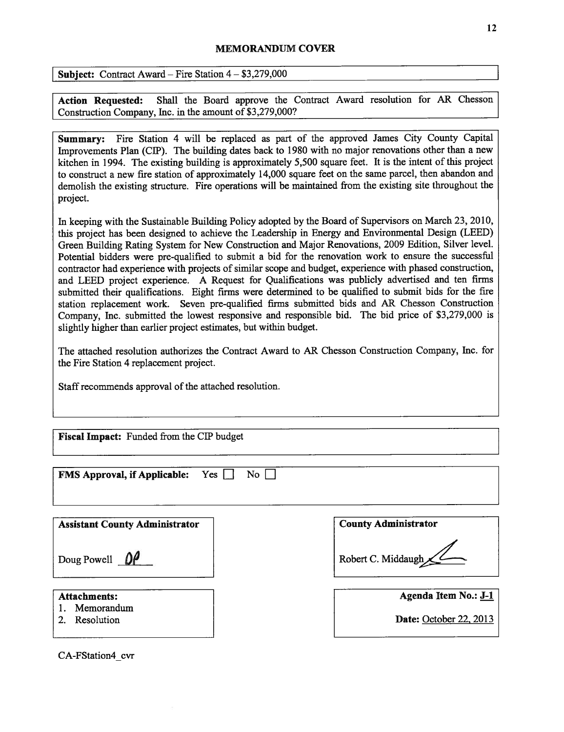#### MEMORANDuM COVER

Subject: Contract Award — Fire Station 4— \$3,279,000

Action Requested: Shall the Board approve the Contract Award resolution for AR Chesson Construction Company, Inc. in the amount of \$3,279,000?

Summary: Fire Station 4 will be replaced as part of the approved James City County Capital Improvements Plan (CIP). The building dates back to 1980 with no major renovations other than a new kitchen in 1994. The existing building is approximately 5,500 square feet. It is the intent of this project to construct a new fire station of approximately 14,000 square feet on the same parcel, then abandon and demolish the existing structure. Fire operations will be maintained from the existing site throughout the project.

In keeping with the Sustainable Building Policy adopted by the Board of Supervisors on March 23, 2010, this project has been designed to achieve the Leadership in Energy and Environmental Design (LEED) Green Building Rating System for New Construction and Major Renovations, 2009 Edition, Silver level. Potential bidders were pre-qualified to submit a bid for the renovation work to ensure the successful contractor had experience with projects of similar scope and budget, experience with phased construction, and LEED project experience. A Request for Qualifications was publicly advertised and ten firms submitted their qualifications. Eight firms were determined to be qualified to submit bids for the fire station replacement work. Seven pre-qualified firms submitted bids and AR Chesson Construction Company, Inc. submitted the lowest responsive and responsible bid. The bid price of \$3,279,000 is slightly higher than earlier project estimates, but within budget.

The attached resolution authorizes the Contract Award to AR Chesson Construction Company, Inc. for the Fire Station 4 replacement project.

Staff recommends approval of the attached resolution.

| <b>FMS Approval, if Applicable:</b> Yes □ No □ |  |  |
|------------------------------------------------|--|--|
|------------------------------------------------|--|--|

| <b>Assistant County Administrator</b> | <b>County Administrator</b> |
|---------------------------------------|-----------------------------|
| Doug Powell $\mathbb{D}$              | Robert C. Middaugh          |
| <b>Attachments:</b>                   | Agenda Item No.: J-1        |
| Memorandum<br>Resolution              | Date: October 22, 2013      |

CA-FStation4 cvr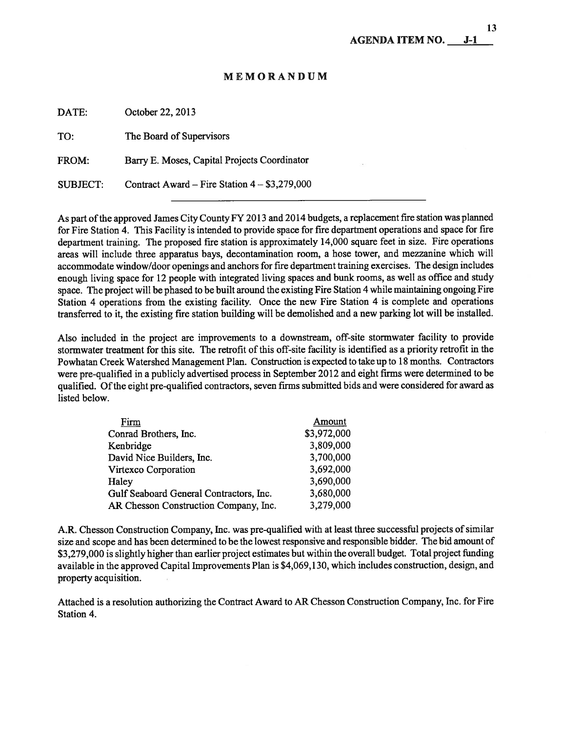# MEMORANDUM

| DATE:           | October 22, 2013                               |
|-----------------|------------------------------------------------|
| TO:             | The Board of Supervisors                       |
| FROM:           | Barry E. Moses, Capital Projects Coordinator   |
| <b>SUBJECT:</b> | Contract Award – Fire Station $4 - $3,279,000$ |

As part of the approved James City County FY 2013 and 2014 budgets, a replacement fire station was planned for Fire Station 4. This Facility is intended to provide space for fire department operations and space for fire department training. The proposed fire station is approximately 14,000 square feet in size. Fire operations areas will include three apparatus bays, decontamination room, a hose tower, and mezzanine which will accommodate window/door openings and anchors for fire department training exercises. The design includes enough living space for 12 people with integrated living spaces and bunk rooms, as well as office and study space. The project will be phased to be built around the existing Fire Station 4 while maintaining ongoing Fire Station 4 operations from the existing facility. Once the new Fire Station 4 is complete and operations transferred to it, the existing fire station building will be demolished and a new parking lot will be installed.

Also included in the project are improvements to a downstream, off-site stormwater facility to provide stormwater treatment for this site. The retrofit of this off-site facility is identified as a priority retrofit in the Powhatan Creek Watershed Management Plan. Construction is expected to take up to 18 months. Contractors were pre-qualified in a publicly advertised process in September 2012 and eight firms were determined to be qualified. Ofthe eight pre-qualified contractors, seven firms submitted bids and were considered for award as listed below.

| Firm                                    | Amount      |
|-----------------------------------------|-------------|
| Conrad Brothers, Inc.                   | \$3,972,000 |
| Kenbridge                               | 3,809,000   |
| David Nice Builders, Inc.               | 3,700,000   |
| Virtexco Corporation                    | 3,692,000   |
| Haley                                   | 3,690,000   |
| Gulf Seaboard General Contractors, Inc. | 3,680,000   |
| AR Chesson Construction Company, Inc.   | 3,279,000   |

A.R. Chesson Construction Company, Inc. was pre-qualified with at least three successful projects of similar size and scope and has been determined to be the lowest responsive and responsible bidder. The bid amount of \$3,279,000 is slightly higher than earlier project estimates but within the overall budget. Total project funding available in the approved Capital Improvements Plan is \$4,069,130, which includes construction, design, and property acquisition.

Attached is a resolution authorizing the Contract Award to AR Chesson Construction Company, Inc. for Fire Station 4.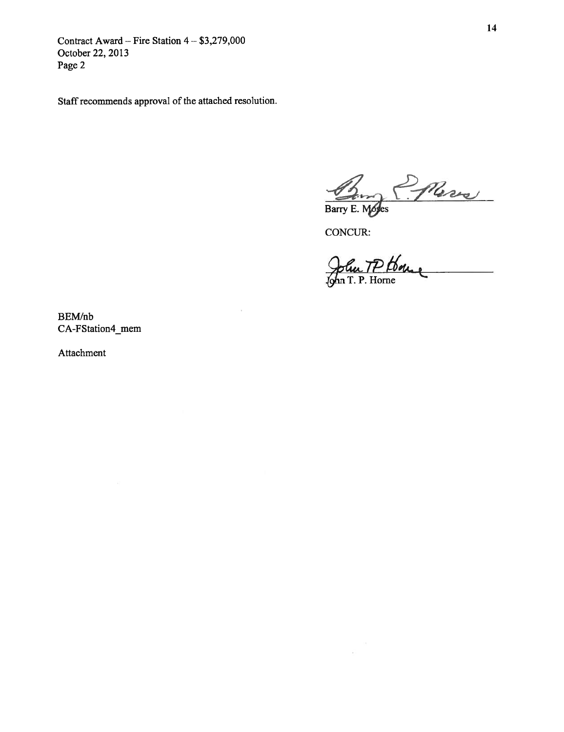Contract Award — Fire Station 4— \$3,279,000 October 22, 2013 Page 2

Staff recommends approval of the attached resolution.

Barry E. Modes

CONCUR:

÷

John TP Home

BEWnb CA-FStation4\_mem

Attachment